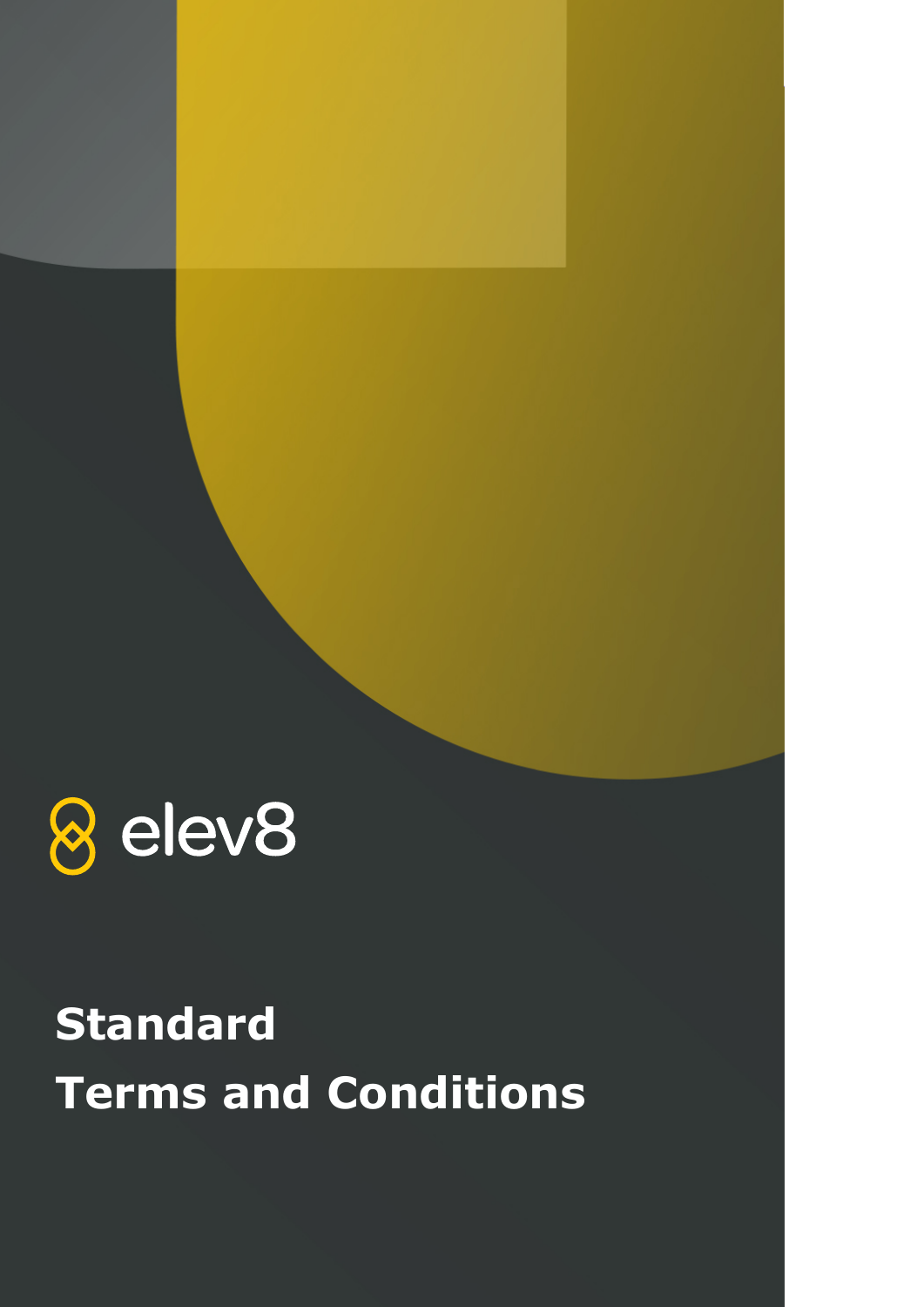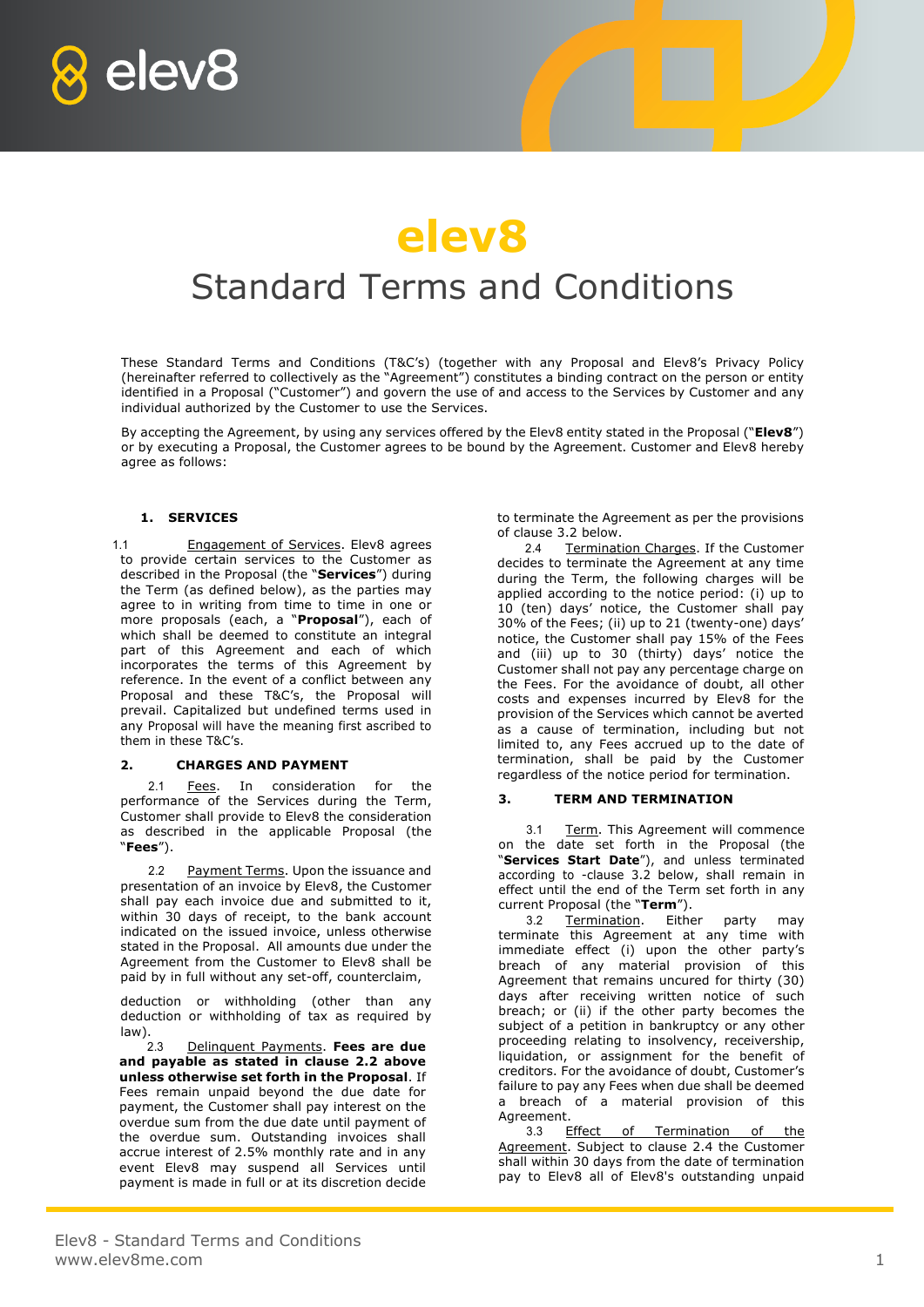



# Standard Terms and Conditions

These Standard Terms and Conditions (T&C's) (together with any Proposal and Elev8's Privacy Policy (hereinafter referred to collectively as the "Agreement") constitutes a binding contract on the person or entity identified in a Proposal ("Customer") and govern the use of and access to the Services by Customer and any individual authorized by the Customer to use the Services.

By accepting the Agreement, by using any services offered by the Elev8 entity stated in the Proposal ("**Elev8**") or by executing a Proposal, the Customer agrees to be bound by the Agreement. Customer and Elev8 hereby agree as follows:

## **1. SERVICES**

1.1 **Engagement of Services**. Elev8 agrees to provide certain services to the Customer as described in the Proposal (the "**Services**") during the Term (as defined below), as the parties may agree to in writing from time to time in one or more proposals (each, a "**Proposal**"), each of which shall be deemed to constitute an integral part of this Agreement and each of which incorporates the terms of this Agreement by reference. In the event of a conflict between any Proposal and these T&C's, the Proposal will prevail. Capitalized but undefined terms used in any Proposal will have the meaning first ascribed to them in these T&C's.

#### **2. CHARGES AND PAYMENT**

2.1 Fees. In consideration for the performance of the Services during the Term, Customer shall provide to Elev8 the consideration as described in the applicable Proposal (the "**Fees**").

2.2 Payment Terms. Upon the issuance and presentation of an invoice by Elev8, the Customer shall pay each invoice due and submitted to it, within 30 days of receipt, to the bank account indicated on the issued invoice, unless otherwise stated in the Proposal. All amounts due under the Agreement from the Customer to Elev8 shall be paid by in full without any set-off, counterclaim,

deduction or withholding (other than any deduction or withholding of tax as required by  $\begin{array}{c} \n\text{law} \\ \n2.3\n\end{array}$ 

2.3 Delinquent Payments. **Fees are due and payable as stated in clause 2.2 above unless otherwise set forth in the Proposal**. If Fees remain unpaid beyond the due date for payment, the Customer shall pay interest on the overdue sum from the due date until payment of the overdue sum. Outstanding invoices shall accrue interest of 2.5% monthly rate and in any event Elev8 may suspend all Services until payment is made in full or at its discretion decide to terminate the Agreement as per the provisions of clause 3.2 below.

2.4 Termination Charges. If the Customer decides to terminate the Agreement at any time during the Term, the following charges will be applied according to the notice period: (i) up to 10 (ten) days' notice, the Customer shall pay 30% of the Fees; (ii) up to 21 (twenty-one) days' notice, the Customer shall pay 15% of the Fees and (iii) up to 30 (thirty) days' notice the Customer shall not pay any percentage charge on the Fees. For the avoidance of doubt, all other costs and expenses incurred by Elev8 for the provision of the Services which cannot be averted as a cause of termination, including but not limited to, any Fees accrued up to the date of termination, shall be paid by the Customer regardless of the notice period for termination.

# **3. TERM AND TERMINATION**

3.1 Term. This Agreement will commence on the date set forth in the Proposal (the "**Services Start Date**"), and unless terminated according to -clause 3.2 below, shall remain in effect until the end of the Term set forth in any current Proposal (the "**Term**").

3.2 Termination. Either party may terminate this Agreement at any time with immediate effect (i) upon the other party's breach of any material provision of this Agreement that remains uncured for thirty (30) days after receiving written notice of such breach; or (ii) if the other party becomes the subject of a petition in bankruptcy or any other proceeding relating to insolvency, receivership, liquidation, or assignment for the benefit of creditors. For the avoidance of doubt, Customer's failure to pay any Fees when due shall be deemed a breach of a material provision of this Agreement.

3.3 Effect of Termination of the Agreement. Subject to clause 2.4 the Customer shall within 30 days from the date of termination pay to Elev8 all of Elev8's outstanding unpaid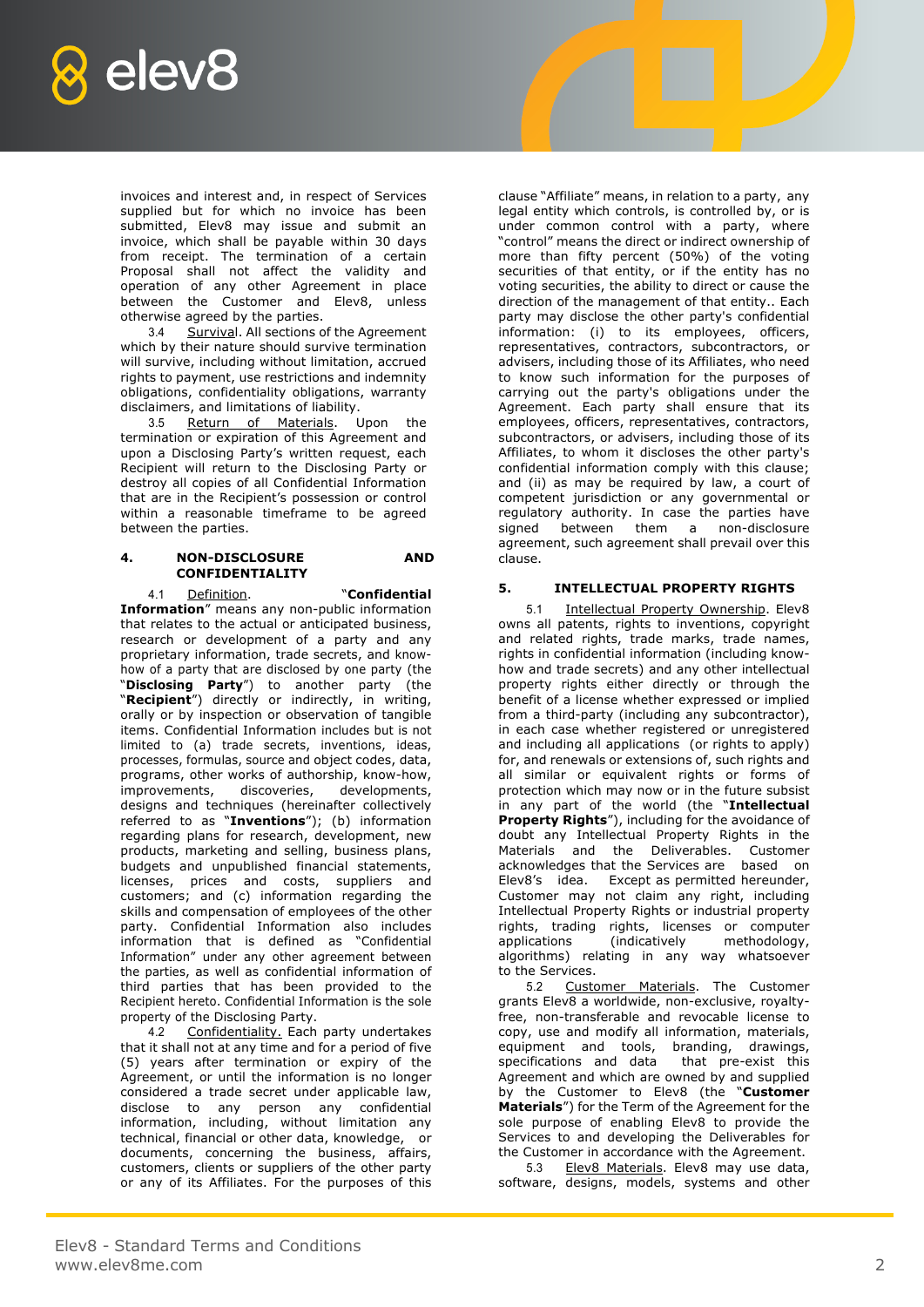

invoices and interest and, in respect of Services supplied but for which no invoice has been submitted, Elev8 may issue and submit an invoice, which shall be payable within 30 days from receipt. The termination of a certain Proposal shall not affect the validity and operation of any other Agreement in place between the Customer and Elev8, unless otherwise agreed by the parties.

3.4 Survival. All sections of the Agreement which by their nature should survive termination will survive, including without limitation, accrued rights to payment, use restrictions and indemnity obligations, confidentiality obligations, warranty disclaimers, and limitations of liability.

3.5 Return of Materials. Upon the termination or expiration of this Agreement and upon a Disclosing Party's written request, each Recipient will return to the Disclosing Party or destroy all copies of all Confidential Information that are in the Recipient's possession or control within a reasonable timeframe to be agreed between the parties.

#### **4. NON-DISCLOSURE AND CONFIDENTIALITY**

4.1 Definition. "**Confidential Information**" means any non-public information that relates to the actual or anticipated business, research or development of a party and any proprietary information, trade secrets, and knowhow of a party that are disclosed by one party (the "**Disclosing Party**") to another party (the "**Recipient**") directly or indirectly, in writing, orally or by inspection or observation of tangible items. Confidential Information includes but is not limited to (a) trade secrets, inventions, ideas, processes, formulas, source and object codes, data, programs, other works of authorship, know-how, improvements, discoveries, developments, designs and techniques (hereinafter collectively referred to as "**Inventions**"); (b) information regarding plans for research, development, new products, marketing and selling, business plans, budgets and unpublished financial statements, licenses, prices and costs, suppliers and customers; and (c) information regarding the skills and compensation of employees of the other party. Confidential Information also includes information that is defined as "Confidential Information" under any other agreement between the parties, as well as confidential information of third parties that has been provided to the Recipient hereto. Confidential Information is the sole property of the Disclosing Party.

4.2 Confidentiality. Each party undertakes that it shall not at any time and for a period of five (5) years after termination or expiry of the Agreement, or until the information is no longer considered a trade secret under applicable law, disclose to any person any confidential information, including, without limitation any technical, financial or other data, knowledge, or documents, concerning the business, affairs, customers, clients or suppliers of the other party or any of its Affiliates. For the purposes of this

clause "Affiliate" means, in relation to a party, any legal entity which controls, is controlled by, or is under common control with a party, where "control" means the direct or indirect ownership of more than fifty percent (50%) of the voting securities of that entity, or if the entity has no voting securities, the ability to direct or cause the direction of the management of that entity.. Each party may disclose the other party's confidential information: (i) to its employees, officers, representatives, contractors, subcontractors, or advisers, including those of its Affiliates, who need to know such information for the purposes of carrying out the party's obligations under the Agreement. Each party shall ensure that its employees, officers, representatives, contractors, subcontractors, or advisers, including those of its Affiliates, to whom it discloses the other party's confidential information comply with this clause; and (ii) as may be required by law, a court of competent jurisdiction or any governmental or regulatory authority. In case the parties have signed between them a non-disclosure agreement, such agreement shall prevail over this clause.

## **5. INTELLECTUAL PROPERTY RIGHTS**

5.1 Intellectual Property Ownership. Elev8 owns all patents, rights to inventions, copyright and related rights, trade marks, trade names, rights in confidential information (including knowhow and trade secrets) and any other intellectual property rights either directly or through the benefit of a license whether expressed or implied from a third-party (including any subcontractor), in each case whether registered or unregistered and including all applications (or rights to apply) for, and renewals or extensions of, such rights and all similar or equivalent rights or forms of protection which may now or in the future subsist in any part of the world (the "**Intellectual Property Rights**"), including for the avoidance of doubt any Intellectual Property Rights in the Materials and the Deliverables. Customer acknowledges that the Services are based on Elev8's idea. Except as permitted hereunder, Customer may not claim any right, including Intellectual Property Rights or industrial property rights, trading rights, licenses or computer<br>applications (indicatively methodology, applications (indicatively methodology, algorithms) relating in any way whatsoever to the Services.

5.2 Customer Materials. The Customer grants Elev8 a worldwide, non-exclusive, royaltyfree, non-transferable and revocable license to copy, use and modify all information, materials, equipment and tools, branding, drawings, specifications and data that pre-exist this Agreement and which are owned by and supplied by the Customer to Elev8 (the "**Customer Materials**") for the Term of the Agreement for the sole purpose of enabling Elev8 to provide the Services to and developing the Deliverables for the Customer in accordance with the Agreement.

5.3 Elev8 Materials. Elev8 may use data, software, designs, models, systems and other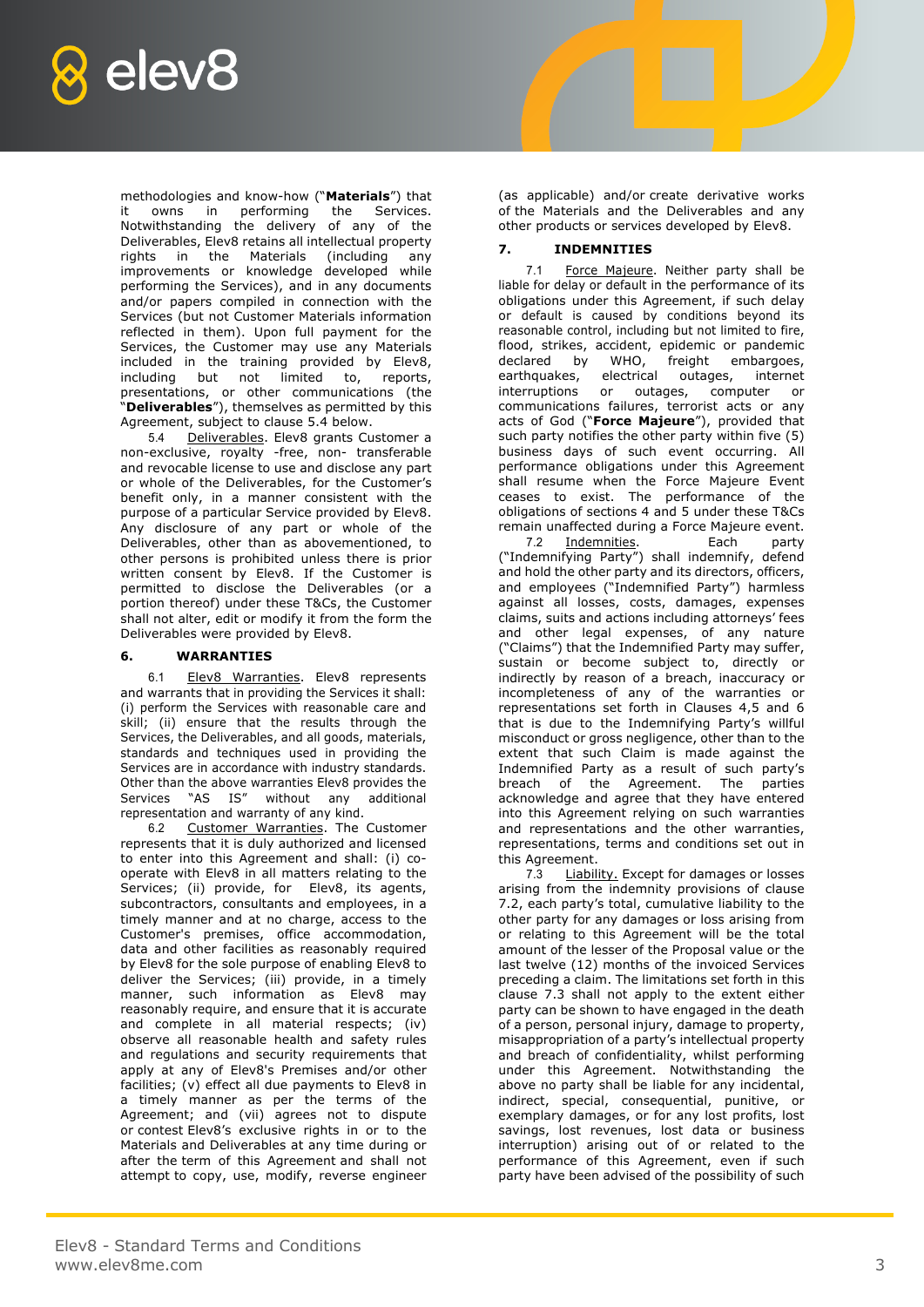

methodologies and know-how ("**Materials**") that it owns in performing the Services. Notwithstanding the delivery of any of the Deliverables, Elev8 retains all intellectual property rights in the Materials (including any improvements or knowledge developed while performing the Services), and in any documents and/or papers compiled in connection with the Services (but not Customer Materials information reflected in them). Upon full payment for the Services, the Customer may use any Materials included in the training provided by Elev8, including but not limited to, reports, presentations, or other communications (the "**Deliverables**"), themselves as permitted by this Agreement, subject to clause 5.4 below.

5.4 Deliverables. Elev8 grants Customer a non-exclusive, royalty -free, non- transferable and revocable license to use and disclose any part or whole of the Deliverables, for the Customer's benefit only, in a manner consistent with the purpose of a particular Service provided by Elev8. Any disclosure of any part or whole of the Deliverables, other than as abovementioned, to other persons is prohibited unless there is prior written consent by Elev8. If the Customer is permitted to disclose the Deliverables (or a portion thereof) under these T&Cs, the Customer shall not alter, edit or modify it from the form the Deliverables were provided by Elev8.

# **6. WARRANTIES**

6.1 Elev8 Warranties. Elev8 represents and warrants that in providing the Services it shall: (i) perform the Services with reasonable care and skill; (ii) ensure that the results through the Services, the Deliverables, and all goods, materials, standards and techniques used in providing the Services are in accordance with industry standards. Other than the above warranties Elev8 provides the Services "AS IS" without any additional representation and warranty of any kind.

6.2 Customer Warranties. The Customer represents that it is duly authorized and licensed to enter into this Agreement and shall: (i) cooperate with Elev8 in all matters relating to the Services; (ii) provide, for Elev8, its agents, subcontractors, consultants and employees, in a timely manner and at no charge, access to the Customer's premises, office accommodation, data and other facilities as reasonably required by Elev8 for the sole purpose of enabling Elev8 to deliver the Services; (iii) provide, in a timely manner, such information as Elev8 may reasonably require, and ensure that it is accurate and complete in all material respects; (iv) observe all reasonable health and safety rules and regulations and security requirements that apply at any of Elev8's Premises and/or other facilities; (v) effect all due payments to Elev8 in a timely manner as per the terms of the Agreement; and (vii) agrees not to dispute or contest Elev8's exclusive rights in or to the Materials and Deliverables at any time during or after the term of this Agreement and shall not attempt to copy, use, modify, reverse engineer (as applicable) and/or create derivative works of the Materials and the Deliverables and any other products or services developed by Elev8.

## **7. INDEMNITIES**

7.1 Force Majeure. Neither party shall be liable for delay or default in the performance of its obligations under this Agreement, if such delay or default is caused by conditions beyond its reasonable control, including but not limited to fire, flood, strikes, accident, epidemic or pandemic declared by WHO, freight embargoes,<br>earthquakes, electrical outages, internet electrical outages, internet interruptions or outages, computer or communications failures, terrorist acts or any acts of God ("**Force Majeure**"), provided that such party notifies the other party within five (5) business days of such event occurring. All performance obligations under this Agreement shall resume when the Force Majeure Event ceases to exist. The performance of the obligations of sections 4 and 5 under these T&Cs remain unaffected during a Force Majeure event.

7.2 Indemnities. Each party ("Indemnifying Party") shall indemnify, defend and hold the other party and its directors, officers, and employees ("Indemnified Party") harmless against all losses, costs, damages, expenses claims, suits and actions including attorneys' fees and other legal expenses, of any nature ("Claims") that the Indemnified Party may suffer, sustain or become subject to, directly or indirectly by reason of a breach, inaccuracy or incompleteness of any of the warranties or representations set forth in Clauses 4,5 and 6 that is due to the Indemnifying Party's willful misconduct or gross negligence, other than to the extent that such Claim is made against the Indemnified Party as a result of such party's breach of the Agreement. The parties acknowledge and agree that they have entered into this Agreement relying on such warranties and representations and the other warranties, representations, terms and conditions set out in this Agreement.

7.3 Liability. Except for damages or losses arising from the indemnity provisions of clause 7.2, each party's total, cumulative liability to the other party for any damages or loss arising from or relating to this Agreement will be the total amount of the lesser of the Proposal value or the last twelve (12) months of the invoiced Services preceding a claim. The limitations set forth in this clause 7.3 shall not apply to the extent either party can be shown to have engaged in the death of a person, personal injury, damage to property, misappropriation of a party's intellectual property and breach of confidentiality, whilst performing under this Agreement. Notwithstanding the above no party shall be liable for any incidental, indirect, special, consequential, punitive, or exemplary damages, or for any lost profits, lost savings, lost revenues, lost data or business interruption) arising out of or related to the performance of this Agreement, even if such party have been advised of the possibility of such